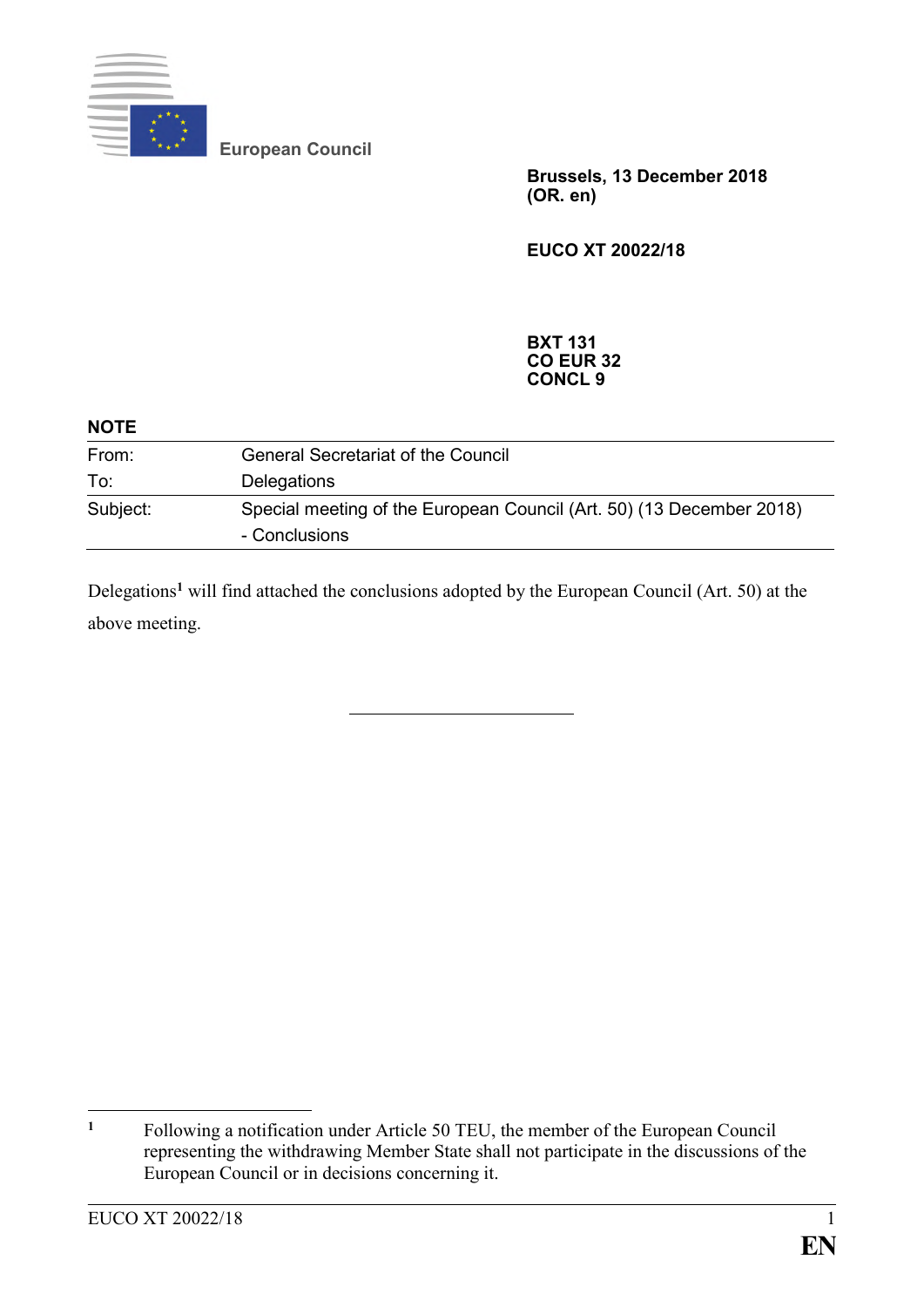

**European Council**

**Brussels, 13 December 2018 (OR. en)**

**EUCO XT 20022/18**

**BXT 131 CO EUR 32 CONCL 9**

| <b>NOTE</b> |                                                                                       |
|-------------|---------------------------------------------------------------------------------------|
| From:       | <b>General Secretariat of the Council</b>                                             |
| To:         | Delegations                                                                           |
| Subject:    | Special meeting of the European Council (Art. 50) (13 December 2018)<br>- Conclusions |

Delegations**<sup>1</sup>** will find attached the conclusions adopted by the European Council (Art. 50) at the above meeting.

 $\mathbf{1}$ **<sup>1</sup>** Following a notification under Article 50 TEU, the member of the European Council representing the withdrawing Member State shall not participate in the discussions of the European Council or in decisions concerning it.